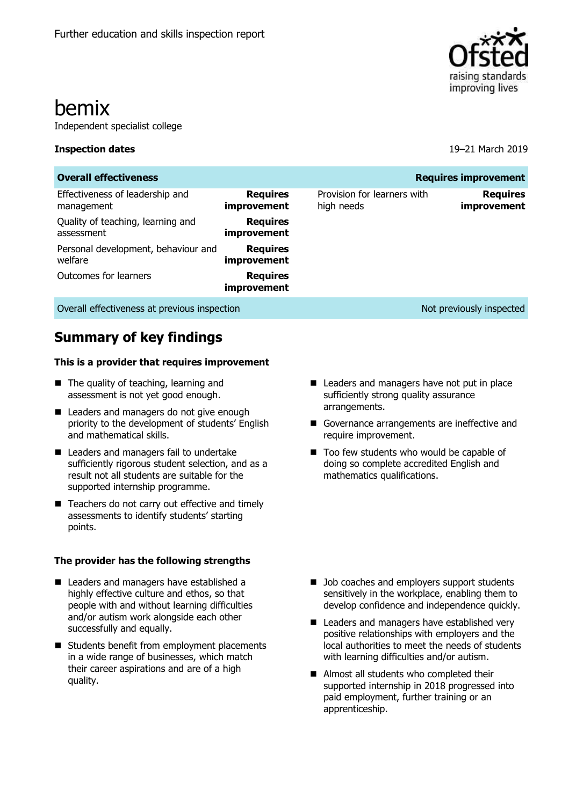

# bemix

Independent specialist college

#### **Inspection dates** 19–21 March 2019

| <b>Overall effectiveness</b><br><b>Requires improvement</b> |                                |                                           |                                |  |  |  |  |  |
|-------------------------------------------------------------|--------------------------------|-------------------------------------------|--------------------------------|--|--|--|--|--|
| Effectiveness of leadership and<br>management               | <b>Requires</b><br>improvement | Provision for learners with<br>high needs | <b>Requires</b><br>improvement |  |  |  |  |  |
| Quality of teaching, learning and<br>assessment             | <b>Requires</b><br>improvement |                                           |                                |  |  |  |  |  |
| Personal development, behaviour and<br>welfare              | <b>Requires</b><br>improvement |                                           |                                |  |  |  |  |  |
| Outcomes for learners                                       | <b>Requires</b><br>improvement |                                           |                                |  |  |  |  |  |
| Overall effectiveness at previous inspection                |                                |                                           | Not previously inspected       |  |  |  |  |  |

## **Summary of key findings**

#### **This is a provider that requires improvement**

- The quality of teaching, learning and assessment is not yet good enough.
- Leaders and managers do not give enough priority to the development of students' English and mathematical skills.
- Leaders and managers fail to undertake sufficiently rigorous student selection, and as a result not all students are suitable for the supported internship programme.
- Teachers do not carry out effective and timely assessments to identify students' starting points.

#### **The provider has the following strengths**

- Leaders and managers have established a highly effective culture and ethos, so that people with and without learning difficulties and/or autism work alongside each other successfully and equally.
- Students benefit from employment placements in a wide range of businesses, which match their career aspirations and are of a high quality.
- Leaders and managers have not put in place sufficiently strong quality assurance arrangements.
- Governance arrangements are ineffective and require improvement.
- Too few students who would be capable of doing so complete accredited English and mathematics qualifications.

- Job coaches and employers support students sensitively in the workplace, enabling them to develop confidence and independence quickly.
- Leaders and managers have established very positive relationships with employers and the local authorities to meet the needs of students with learning difficulties and/or autism.
- Almost all students who completed their supported internship in 2018 progressed into paid employment, further training or an apprenticeship.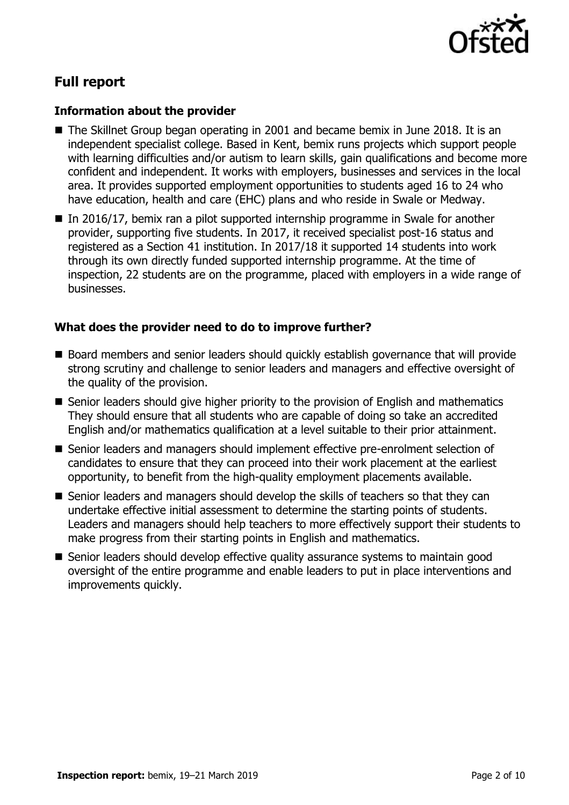

## **Full report**

#### **Information about the provider**

- The Skillnet Group began operating in 2001 and became bemix in June 2018. It is an independent specialist college. Based in Kent, bemix runs projects which support people with learning difficulties and/or autism to learn skills, gain qualifications and become more confident and independent. It works with employers, businesses and services in the local area. It provides supported employment opportunities to students aged 16 to 24 who have education, health and care (EHC) plans and who reside in Swale or Medway.
- In 2016/17, bemix ran a pilot supported internship programme in Swale for another provider, supporting five students. In 2017, it received specialist post-16 status and registered as a Section 41 institution. In 2017/18 it supported 14 students into work through its own directly funded supported internship programme. At the time of inspection, 22 students are on the programme, placed with employers in a wide range of businesses.

### **What does the provider need to do to improve further?**

- Board members and senior leaders should quickly establish governance that will provide strong scrutiny and challenge to senior leaders and managers and effective oversight of the quality of the provision.
- Senior leaders should give higher priority to the provision of English and mathematics They should ensure that all students who are capable of doing so take an accredited English and/or mathematics qualification at a level suitable to their prior attainment.
- Senior leaders and managers should implement effective pre-enrolment selection of candidates to ensure that they can proceed into their work placement at the earliest opportunity, to benefit from the high-quality employment placements available.
- Senior leaders and managers should develop the skills of teachers so that they can undertake effective initial assessment to determine the starting points of students. Leaders and managers should help teachers to more effectively support their students to make progress from their starting points in English and mathematics.
- Senior leaders should develop effective quality assurance systems to maintain good oversight of the entire programme and enable leaders to put in place interventions and improvements quickly.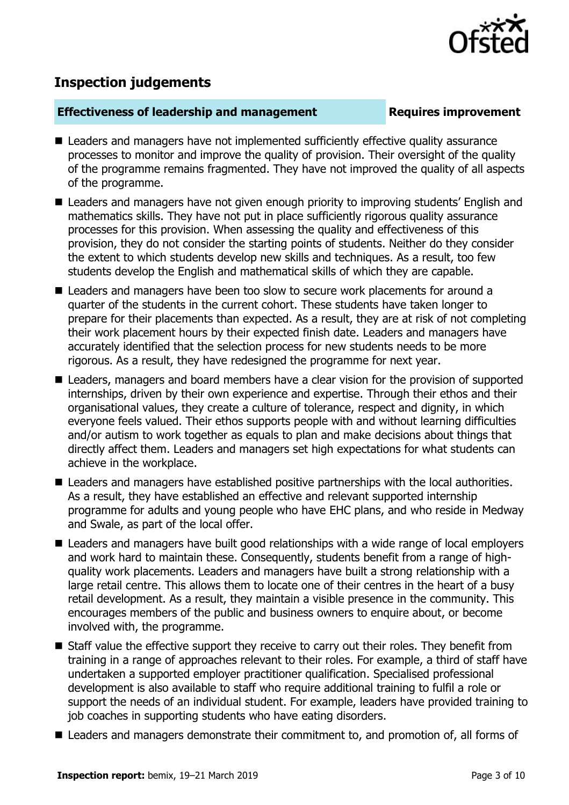

## **Inspection judgements**

#### **Effectiveness of leadership and management Requires improvement**

- Leaders and managers have not implemented sufficiently effective quality assurance processes to monitor and improve the quality of provision. Their oversight of the quality of the programme remains fragmented. They have not improved the quality of all aspects of the programme.
- Leaders and managers have not given enough priority to improving students' English and mathematics skills. They have not put in place sufficiently rigorous quality assurance processes for this provision. When assessing the quality and effectiveness of this provision, they do not consider the starting points of students. Neither do they consider the extent to which students develop new skills and techniques. As a result, too few students develop the English and mathematical skills of which they are capable.
- Leaders and managers have been too slow to secure work placements for around a quarter of the students in the current cohort. These students have taken longer to prepare for their placements than expected. As a result, they are at risk of not completing their work placement hours by their expected finish date. Leaders and managers have accurately identified that the selection process for new students needs to be more rigorous. As a result, they have redesigned the programme for next year.
- Leaders, managers and board members have a clear vision for the provision of supported internships, driven by their own experience and expertise. Through their ethos and their organisational values, they create a culture of tolerance, respect and dignity, in which everyone feels valued. Their ethos supports people with and without learning difficulties and/or autism to work together as equals to plan and make decisions about things that directly affect them. Leaders and managers set high expectations for what students can achieve in the workplace.
- Leaders and managers have established positive partnerships with the local authorities. As a result, they have established an effective and relevant supported internship programme for adults and young people who have EHC plans, and who reside in Medway and Swale, as part of the local offer.
- Leaders and managers have built good relationships with a wide range of local employers and work hard to maintain these. Consequently, students benefit from a range of highquality work placements. Leaders and managers have built a strong relationship with a large retail centre. This allows them to locate one of their centres in the heart of a busy retail development. As a result, they maintain a visible presence in the community. This encourages members of the public and business owners to enquire about, or become involved with, the programme.
- Staff value the effective support they receive to carry out their roles. They benefit from training in a range of approaches relevant to their roles. For example, a third of staff have undertaken a supported employer practitioner qualification. Specialised professional development is also available to staff who require additional training to fulfil a role or support the needs of an individual student. For example, leaders have provided training to job coaches in supporting students who have eating disorders.
- Leaders and managers demonstrate their commitment to, and promotion of, all forms of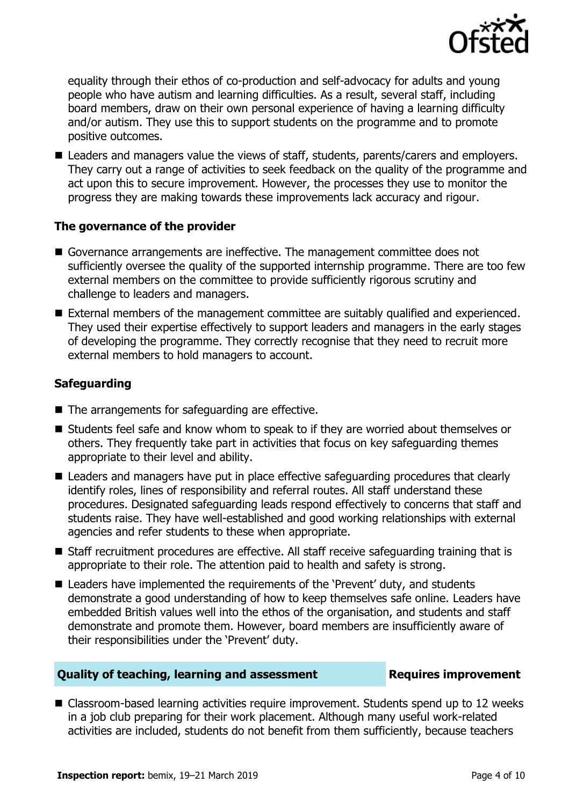

equality through their ethos of co-production and self-advocacy for adults and young people who have autism and learning difficulties. As a result, several staff, including board members, draw on their own personal experience of having a learning difficulty and/or autism. They use this to support students on the programme and to promote positive outcomes.

■ Leaders and managers value the views of staff, students, parents/carers and employers. They carry out a range of activities to seek feedback on the quality of the programme and act upon this to secure improvement. However, the processes they use to monitor the progress they are making towards these improvements lack accuracy and rigour.

### **The governance of the provider**

- Governance arrangements are ineffective. The management committee does not sufficiently oversee the quality of the supported internship programme. There are too few external members on the committee to provide sufficiently rigorous scrutiny and challenge to leaders and managers.
- External members of the management committee are suitably qualified and experienced. They used their expertise effectively to support leaders and managers in the early stages of developing the programme. They correctly recognise that they need to recruit more external members to hold managers to account.

### **Safeguarding**

- $\blacksquare$  The arrangements for safeguarding are effective.
- Students feel safe and know whom to speak to if they are worried about themselves or others. They frequently take part in activities that focus on key safeguarding themes appropriate to their level and ability.
- Leaders and managers have put in place effective safeguarding procedures that clearly identify roles, lines of responsibility and referral routes. All staff understand these procedures. Designated safeguarding leads respond effectively to concerns that staff and students raise. They have well-established and good working relationships with external agencies and refer students to these when appropriate.
- Staff recruitment procedures are effective. All staff receive safeguarding training that is appropriate to their role. The attention paid to health and safety is strong.
- Leaders have implemented the requirements of the 'Prevent' duty, and students demonstrate a good understanding of how to keep themselves safe online. Leaders have embedded British values well into the ethos of the organisation, and students and staff demonstrate and promote them. However, board members are insufficiently aware of their responsibilities under the 'Prevent' duty.

#### **Quality of teaching, learning and assessment Requires improvement**

■ Classroom-based learning activities require improvement. Students spend up to 12 weeks in a job club preparing for their work placement. Although many useful work-related activities are included, students do not benefit from them sufficiently, because teachers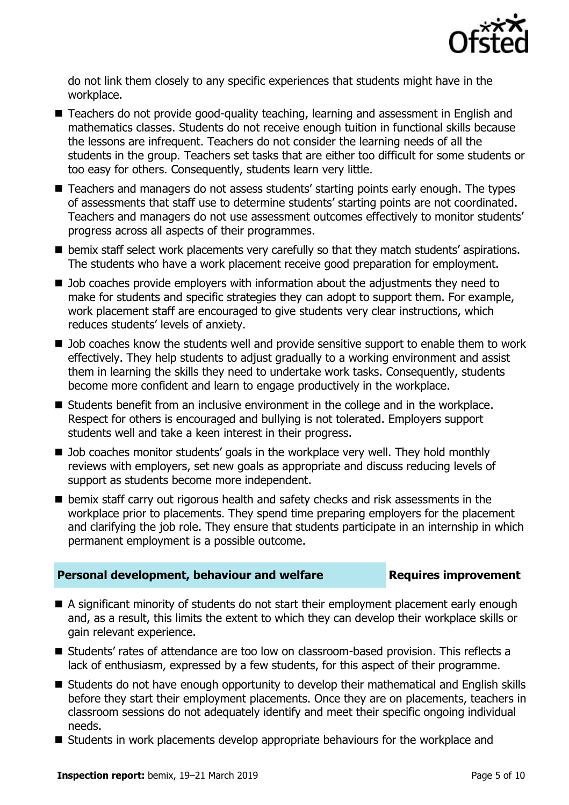

do not link them closely to any specific experiences that students might have in the workplace.

- Teachers do not provide good-quality teaching, learning and assessment in English and mathematics classes. Students do not receive enough tuition in functional skills because the lessons are infrequent. Teachers do not consider the learning needs of all the students in the group. Teachers set tasks that are either too difficult for some students or too easy for others. Consequently, students learn very little.
- Teachers and managers do not assess students' starting points early enough. The types of assessments that staff use to determine students' starting points are not coordinated. Teachers and managers do not use assessment outcomes effectively to monitor students' progress across all aspects of their programmes.
- **bemix staff select work placements very carefully so that they match students' aspirations.** The students who have a work placement receive good preparation for employment.
- Job coaches provide employers with information about the adjustments they need to make for students and specific strategies they can adopt to support them. For example, work placement staff are encouraged to give students very clear instructions, which reduces students' levels of anxiety.
- D Job coaches know the students well and provide sensitive support to enable them to work effectively. They help students to adjust gradually to a working environment and assist them in learning the skills they need to undertake work tasks. Consequently, students become more confident and learn to engage productively in the workplace.
- Students benefit from an inclusive environment in the college and in the workplace. Respect for others is encouraged and bullying is not tolerated. Employers support students well and take a keen interest in their progress.
- D Job coaches monitor students' goals in the workplace very well. They hold monthly reviews with employers, set new goals as appropriate and discuss reducing levels of support as students become more independent.
- $\blacksquare$  bemix staff carry out rigorous health and safety checks and risk assessments in the workplace prior to placements. They spend time preparing employers for the placement and clarifying the job role. They ensure that students participate in an internship in which permanent employment is a possible outcome.

### **Personal development, behaviour and welfare <b>Requires improvement**

- A significant minority of students do not start their employment placement early enough and, as a result, this limits the extent to which they can develop their workplace skills or gain relevant experience.
- Students' rates of attendance are too low on classroom-based provision. This reflects a lack of enthusiasm, expressed by a few students, for this aspect of their programme.
- Students do not have enough opportunity to develop their mathematical and English skills before they start their employment placements. Once they are on placements, teachers in classroom sessions do not adequately identify and meet their specific ongoing individual needs.
- Students in work placements develop appropriate behaviours for the workplace and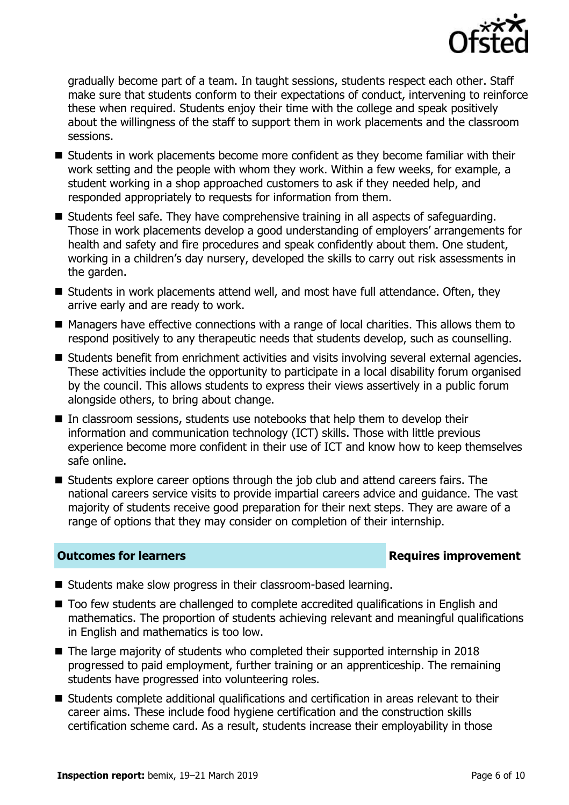

gradually become part of a team. In taught sessions, students respect each other. Staff make sure that students conform to their expectations of conduct, intervening to reinforce these when required. Students enjoy their time with the college and speak positively about the willingness of the staff to support them in work placements and the classroom sessions.

- Students in work placements become more confident as they become familiar with their work setting and the people with whom they work. Within a few weeks, for example, a student working in a shop approached customers to ask if they needed help, and responded appropriately to requests for information from them.
- Students feel safe. They have comprehensive training in all aspects of safeguarding. Those in work placements develop a good understanding of employers' arrangements for health and safety and fire procedures and speak confidently about them. One student, working in a children's day nursery, developed the skills to carry out risk assessments in the garden.
- Students in work placements attend well, and most have full attendance. Often, they arrive early and are ready to work.
- Managers have effective connections with a range of local charities. This allows them to respond positively to any therapeutic needs that students develop, such as counselling.
- Students benefit from enrichment activities and visits involving several external agencies. These activities include the opportunity to participate in a local disability forum organised by the council. This allows students to express their views assertively in a public forum alongside others, to bring about change.
- In classroom sessions, students use notebooks that help them to develop their information and communication technology (ICT) skills. Those with little previous experience become more confident in their use of ICT and know how to keep themselves safe online.
- Students explore career options through the job club and attend careers fairs. The national careers service visits to provide impartial careers advice and guidance. The vast majority of students receive good preparation for their next steps. They are aware of a range of options that they may consider on completion of their internship.

### **Outcomes for learners Requires improvement**

- Students make slow progress in their classroom-based learning.
- Too few students are challenged to complete accredited qualifications in English and mathematics. The proportion of students achieving relevant and meaningful qualifications in English and mathematics is too low.
- The large majority of students who completed their supported internship in 2018 progressed to paid employment, further training or an apprenticeship. The remaining students have progressed into volunteering roles.
- Students complete additional qualifications and certification in areas relevant to their career aims. These include food hygiene certification and the construction skills certification scheme card. As a result, students increase their employability in those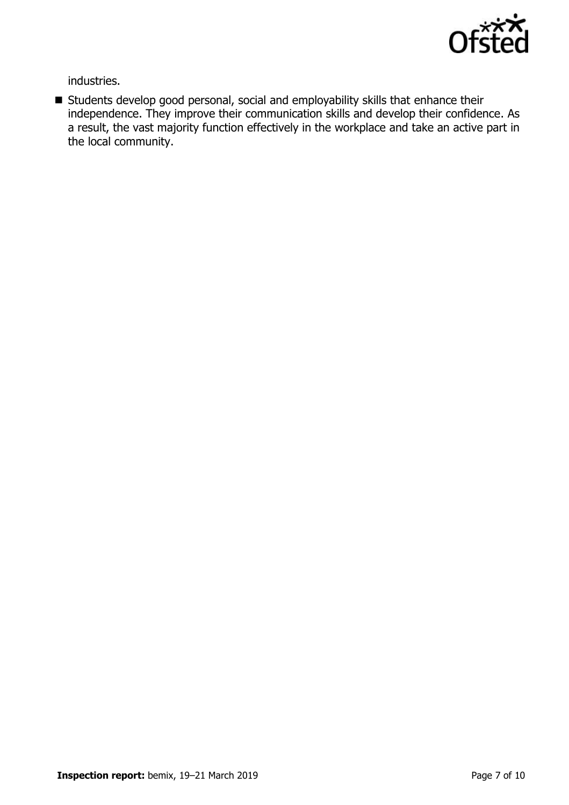

industries.

 Students develop good personal, social and employability skills that enhance their independence. They improve their communication skills and develop their confidence. As a result, the vast majority function effectively in the workplace and take an active part in the local community.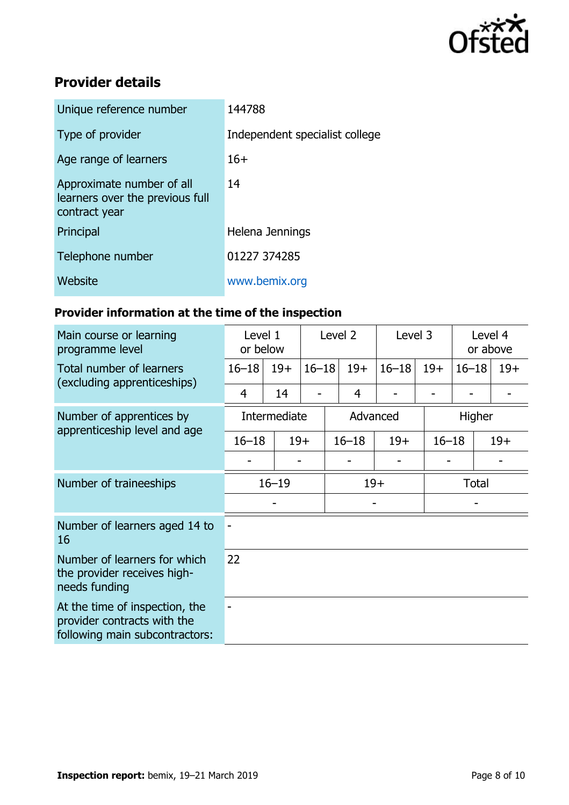

## **Provider details**

| Unique reference number                                                       | 144788                         |
|-------------------------------------------------------------------------------|--------------------------------|
| Type of provider                                                              | Independent specialist college |
| Age range of learners                                                         | $16+$                          |
| Approximate number of all<br>learners over the previous full<br>contract year | 14                             |
| Principal                                                                     | Helena Jennings                |
| Telephone number                                                              | 01227 374285                   |
| Website                                                                       | www.bemix.org                  |

## **Provider information at the time of the inspection**

| Main course or learning<br>programme level                                                      | Level 1<br>or below |       | Level 2   |           | Level 3 |           | Level 4<br>or above |                    |       |
|-------------------------------------------------------------------------------------------------|---------------------|-------|-----------|-----------|---------|-----------|---------------------|--------------------|-------|
| Total number of learners<br>(excluding apprenticeships)                                         | $16 - 18$           | $19+$ | $16 - 18$ | $19+$     |         | $16 - 18$ | $19+$               | $16 - 18$          | $19+$ |
|                                                                                                 | 4                   | 14    |           | 4         |         |           |                     |                    |       |
| Number of apprentices by<br>apprenticeship level and age                                        | Intermediate        |       | Advanced  |           |         |           | Higher              |                    |       |
|                                                                                                 | $16 - 18$           |       | $19+$     | $16 - 18$ |         | $19+$     |                     | $16 - 18$<br>$19+$ |       |
|                                                                                                 |                     |       |           |           |         |           |                     |                    |       |
| Number of traineeships                                                                          | $16 - 19$           |       |           | $19+$     |         |           | <b>Total</b>        |                    |       |
|                                                                                                 |                     |       |           |           |         |           |                     |                    |       |
| Number of learners aged 14 to<br>16                                                             |                     |       |           |           |         |           |                     |                    |       |
| Number of learners for which<br>the provider receives high-<br>needs funding                    | 22                  |       |           |           |         |           |                     |                    |       |
| At the time of inspection, the<br>provider contracts with the<br>following main subcontractors: |                     |       |           |           |         |           |                     |                    |       |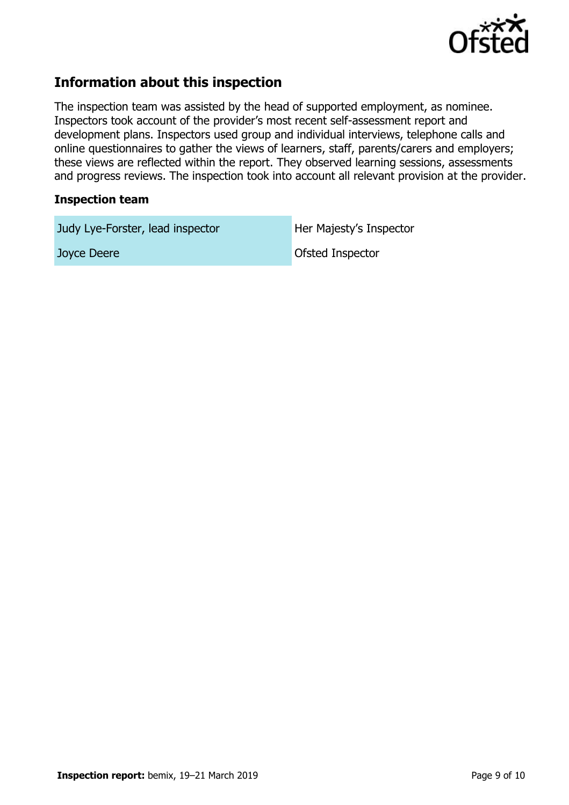

## **Information about this inspection**

The inspection team was assisted by the head of supported employment, as nominee. Inspectors took account of the provider's most recent self-assessment report and development plans. Inspectors used group and individual interviews, telephone calls and online questionnaires to gather the views of learners, staff, parents/carers and employers; these views are reflected within the report. They observed learning sessions, assessments and progress reviews. The inspection took into account all relevant provision at the provider.

#### **Inspection team**

Judy Lye-Forster, lead inspector Her Majesty's Inspector

Joyce Deere **Deere Ofsted Inspector**